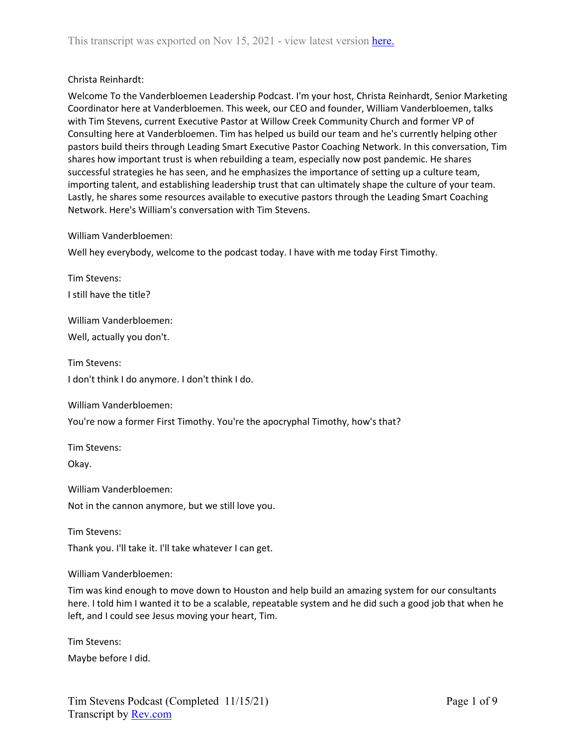## Christa Reinhardt:

Welcome To the Vanderbloemen Leadership Podcast. I'm your host, Christa Reinhardt, Senior Marketing Coordinator here at Vanderbloemen. This week, our CEO and founder, William Vanderbloemen, talks with Tim Stevens, current Executive Pastor at Willow Creek Community Church and former VP of Consulting here at Vanderbloemen. Tim has helped us build our team and he's currently helping other pastors build theirs through Leading Smart Executive Pastor Coaching Network. In this conversation, Tim shares how important trust is when rebuilding a team, especially now post pandemic. He shares successful strategies he has seen, and he emphasizes the importance of setting up a culture team, importing talent, and establishing leadership trust that can ultimately shape the culture of your team. Lastly, he shares some resources available to executive pastors through the Leading Smart Coaching Network. Here's William's conversation with Tim Stevens.

## William Vanderbloemen:

Well hey everybody, welcome to the podcast today. I have with me today First Timothy.

Tim Stevens: I still have the title?

William Vanderbloemen: Well, actually you don't.

Tim Stevens:

I don't think I do anymore. I don't think I do.

William Vanderbloemen:

You're now a former First Timothy. You're the apocryphal Timothy, how's that?

Tim Stevens:

Okay.

William Vanderbloemen: Not in the cannon anymore, but we still love you.

Tim Stevens: Thank you. I'll take it. I'll take whatever I can get.

William Vanderbloemen:

Tim was kind enough to move down to Houston and help build an amazing system for our consultants here. I told him I wanted it to be a scalable, repeatable system and he did such a good job that when he left, and I could see Jesus moving your heart, Tim.

Tim Stevens: Maybe before I did.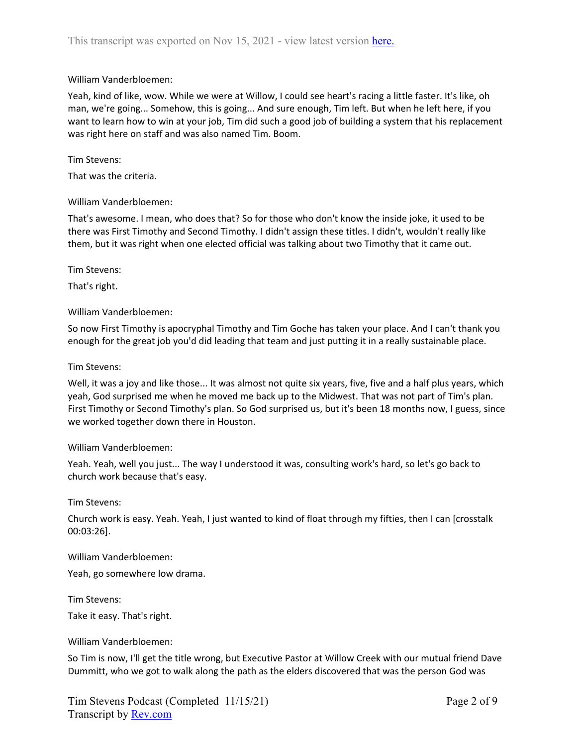## William Vanderbloemen:

Yeah, kind of like, wow. While we were at Willow, I could see heart's racing a little faster. It's like, oh man, we're going... Somehow, this is going... And sure enough, Tim left. But when he left here, if you want to learn how to win at your job, Tim did such a good job of building a system that his replacement was right here on staff and was also named Tim. Boom.

## Tim Stevens:

That was the criteria.

## William Vanderbloemen:

That's awesome. I mean, who does that? So for those who don't know the inside joke, it used to be there was First Timothy and Second Timothy. I didn't assign these titles. I didn't, wouldn't really like them, but it was right when one elected official was talking about two Timothy that it came out.

Tim Stevens:

That's right.

## William Vanderbloemen:

So now First Timothy is apocryphal Timothy and Tim Goche has taken your place. And I can't thank you enough for the great job you'd did leading that team and just putting it in a really sustainable place.

## Tim Stevens:

Well, it was a joy and like those... It was almost not quite six years, five, five and a half plus years, which yeah, God surprised me when he moved me back up to the Midwest. That was not part of Tim's plan. First Timothy or Second Timothy's plan. So God surprised us, but it's been 18 months now, I guess, since we worked together down there in Houston.

## William Vanderbloemen:

Yeah. Yeah, well you just... The way I understood it was, consulting work's hard, so let's go back to church work because that's easy.

Tim Stevens:

Church work is easy. Yeah. Yeah, I just wanted to kind of float through my fifties, then I can [crosstalk 00:03:26].

William Vanderbloemen:

Yeah, go somewhere low drama.

Tim Stevens:

Take it easy. That's right.

William Vanderbloemen:

So Tim is now, I'll get the title wrong, but Executive Pastor at Willow Creek with our mutual friend Dave Dummitt, who we got to walk along the path as the elders discovered that was the person God was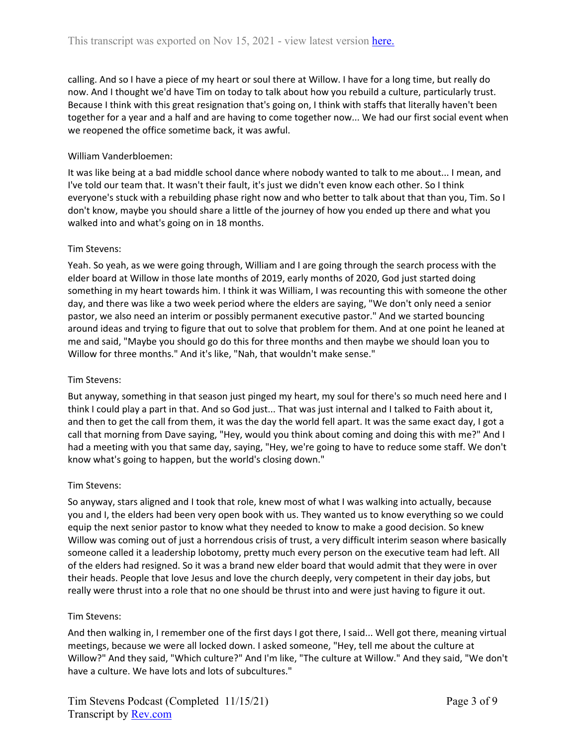calling. And so I have a piece of my heart or soul there at Willow. I have for a long time, but really do now. And I thought we'd have Tim on today to talk about how you rebuild a culture, particularly trust. Because I think with this great resignation that's going on, I think with staffs that literally haven't been together for a year and a half and are having to come together now... We had our first social event when we reopened the office sometime back, it was awful.

## William Vanderbloemen:

It was like being at a bad middle school dance where nobody wanted to talk to me about... I mean, and I've told our team that. It wasn't their fault, it's just we didn't even know each other. So I think everyone's stuck with a rebuilding phase right now and who better to talk about that than you, Tim. So I don't know, maybe you should share a little of the journey of how you ended up there and what you walked into and what's going on in 18 months.

## Tim Stevens:

Yeah. So yeah, as we were going through, William and I are going through the search process with the elder board at Willow in those late months of 2019, early months of 2020, God just started doing something in my heart towards him. I think it was William, I was recounting this with someone the other day, and there was like a two week period where the elders are saying, "We don't only need a senior pastor, we also need an interim or possibly permanent executive pastor." And we started bouncing around ideas and trying to figure that out to solve that problem for them. And at one point he leaned at me and said, "Maybe you should go do this for three months and then maybe we should loan you to Willow for three months." And it's like, "Nah, that wouldn't make sense."

## Tim Stevens:

But anyway, something in that season just pinged my heart, my soul for there's so much need here and I think I could play a part in that. And so God just... That was just internal and I talked to Faith about it, and then to get the call from them, it was the day the world fell apart. It was the same exact day, I got a call that morning from Dave saying, "Hey, would you think about coming and doing this with me?" And I had a meeting with you that same day, saying, "Hey, we're going to have to reduce some staff. We don't know what's going to happen, but the world's closing down."

## Tim Stevens:

So anyway, stars aligned and I took that role, knew most of what I was walking into actually, because you and I, the elders had been very open book with us. They wanted us to know everything so we could equip the next senior pastor to know what they needed to know to make a good decision. So knew Willow was coming out of just a horrendous crisis of trust, a very difficult interim season where basically someone called it a leadership lobotomy, pretty much every person on the executive team had left. All of the elders had resigned. So it was a brand new elder board that would admit that they were in over their heads. People that love Jesus and love the church deeply, very competent in their day jobs, but really were thrust into a role that no one should be thrust into and were just having to figure it out.

## Tim Stevens:

And then walking in, I remember one of the first days I got there, I said... Well got there, meaning virtual meetings, because we were all locked down. I asked someone, "Hey, tell me about the culture at Willow?" And they said, "Which culture?" And I'm like, "The culture at Willow." And they said, "We don't have a culture. We have lots and lots of subcultures."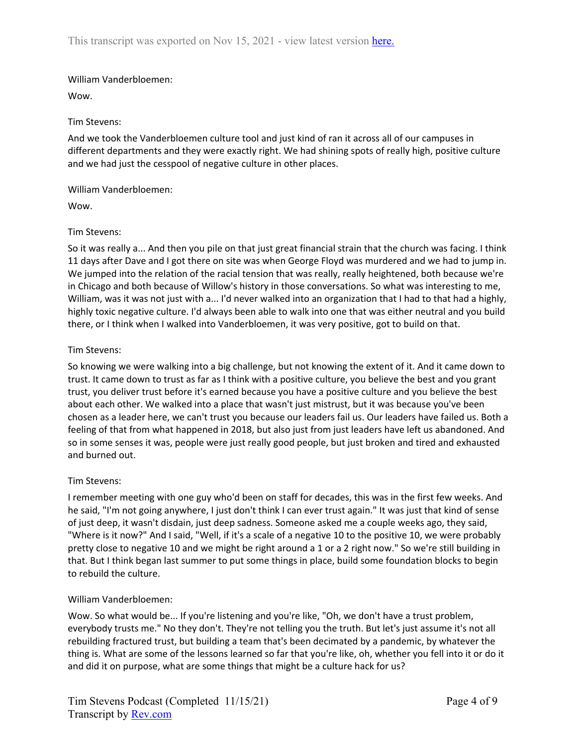## William Vanderbloemen:

Wow.

## Tim Stevens:

And we took the Vanderbloemen culture tool and just kind of ran it across all of our campuses in different departments and they were exactly right. We had shining spots of really high, positive culture and we had just the cesspool of negative culture in other places.

William Vanderbloemen:

Wow.

## Tim Stevens:

So it was really a... And then you pile on that just great financial strain that the church was facing. I think 11 days after Dave and I got there on site was when George Floyd was murdered and we had to jump in. We jumped into the relation of the racial tension that was really, really heightened, both because we're in Chicago and both because of Willow's history in those conversations. So what was interesting to me, William, was it was not just with a... I'd never walked into an organization that I had to that had a highly, highly toxic negative culture. I'd always been able to walk into one that was either neutral and you build there, or I think when I walked into Vanderbloemen, it was very positive, got to build on that.

## Tim Stevens:

So knowing we were walking into a big challenge, but not knowing the extent of it. And it came down to trust. It came down to trust as far as I think with a positive culture, you believe the best and you grant trust, you deliver trust before it's earned because you have a positive culture and you believe the best about each other. We walked into a place that wasn't just mistrust, but it was because you've been chosen as a leader here, we can't trust you because our leaders fail us. Our leaders have failed us. Both a feeling of that from what happened in 2018, but also just from just leaders have left us abandoned. And so in some senses it was, people were just really good people, but just broken and tired and exhausted and burned out.

## Tim Stevens:

I remember meeting with one guy who'd been on staff for decades, this was in the first few weeks. And he said, "I'm not going anywhere, I just don't think I can ever trust again." It was just that kind of sense of just deep, it wasn't disdain, just deep sadness. Someone asked me a couple weeks ago, they said, "Where is it now?" And I said, "Well, if it's a scale of a negative 10 to the positive 10, we were probably pretty close to negative 10 and we might be right around a 1 or a 2 right now." So we're still building in that. But I think began last summer to put some things in place, build some foundation blocks to begin to rebuild the culture.

## William Vanderbloemen:

Wow. So what would be... If you're listening and you're like, "Oh, we don't have a trust problem, everybody trusts me." No they don't. They're not telling you the truth. But let's just assume it's not all rebuilding fractured trust, but building a team that's been decimated by a pandemic, by whatever the thing is. What are some of the lessons learned so far that you're like, oh, whether you fell into it or do it and did it on purpose, what are some things that might be a culture hack for us?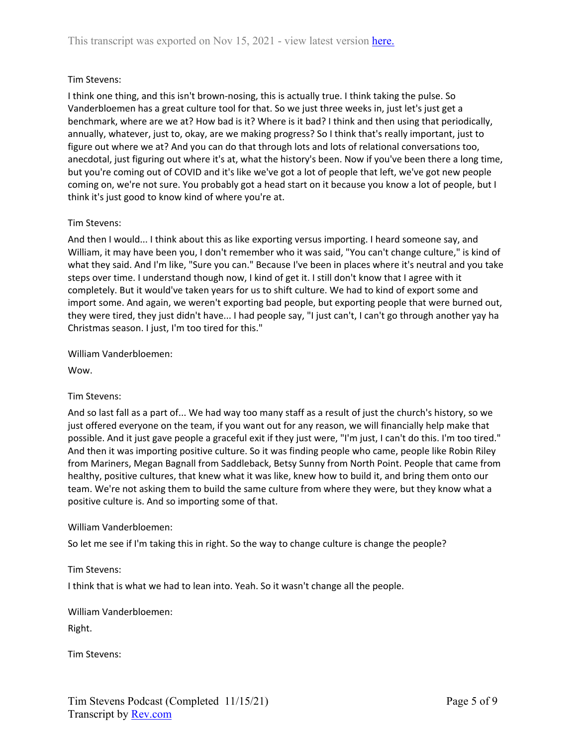## Tim Stevens:

I think one thing, and this isn't brown-nosing, this is actually true. I think taking the pulse. So Vanderbloemen has a great culture tool for that. So we just three weeks in, just let's just get a benchmark, where are we at? How bad is it? Where is it bad? I think and then using that periodically, annually, whatever, just to, okay, are we making progress? So I think that's really important, just to figure out where we at? And you can do that through lots and lots of relational conversations too, anecdotal, just figuring out where it's at, what the history's been. Now if you've been there a long time, but you're coming out of COVID and it's like we've got a lot of people that left, we've got new people coming on, we're not sure. You probably got a head start on it because you know a lot of people, but I think it's just good to know kind of where you're at.

## Tim Stevens:

And then I would... I think about this as like exporting versus importing. I heard someone say, and William, it may have been you, I don't remember who it was said, "You can't change culture," is kind of what they said. And I'm like, "Sure you can." Because I've been in places where it's neutral and you take steps over time. I understand though now, I kind of get it. I still don't know that I agree with it completely. But it would've taken years for us to shift culture. We had to kind of export some and import some. And again, we weren't exporting bad people, but exporting people that were burned out, they were tired, they just didn't have... I had people say, "I just can't, I can't go through another yay ha Christmas season. I just, I'm too tired for this."

William Vanderbloemen:

Wow.

## Tim Stevens:

And so last fall as a part of... We had way too many staff as a result of just the church's history, so we just offered everyone on the team, if you want out for any reason, we will financially help make that possible. And it just gave people a graceful exit if they just were, "I'm just, I can't do this. I'm too tired." And then it was importing positive culture. So it was finding people who came, people like Robin Riley from Mariners, Megan Bagnall from Saddleback, Betsy Sunny from North Point. People that came from healthy, positive cultures, that knew what it was like, knew how to build it, and bring them onto our team. We're not asking them to build the same culture from where they were, but they know what a positive culture is. And so importing some of that.

## William Vanderbloemen:

So let me see if I'm taking this in right. So the way to change culture is change the people?

## Tim Stevens:

I think that is what we had to lean into. Yeah. So it wasn't change all the people.

# William Vanderbloemen:

Right.

Tim Stevens: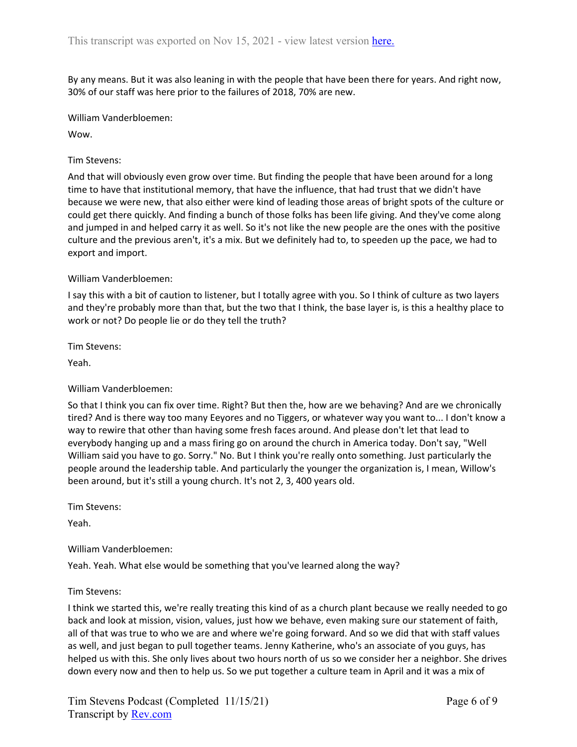By any means. But it was also leaning in with the people that have been there for years. And right now, 30% of our staff was here prior to the failures of 2018, 70% are new.

William Vanderbloemen:

Wow.

Tim Stevens:

And that will obviously even grow over time. But finding the people that have been around for a long time to have that institutional memory, that have the influence, that had trust that we didn't have because we were new, that also either were kind of leading those areas of bright spots of the culture or could get there quickly. And finding a bunch of those folks has been life giving. And they've come along and jumped in and helped carry it as well. So it's not like the new people are the ones with the positive culture and the previous aren't, it's a mix. But we definitely had to, to speeden up the pace, we had to export and import.

#### William Vanderbloemen:

I say this with a bit of caution to listener, but I totally agree with you. So I think of culture as two layers and they're probably more than that, but the two that I think, the base layer is, is this a healthy place to work or not? Do people lie or do they tell the truth?

Tim Stevens:

Yeah.

#### William Vanderbloemen:

So that I think you can fix over time. Right? But then the, how are we behaving? And are we chronically tired? And is there way too many Eeyores and no Tiggers, or whatever way you want to... I don't know a way to rewire that other than having some fresh faces around. And please don't let that lead to everybody hanging up and a mass firing go on around the church in America today. Don't say, "Well William said you have to go. Sorry." No. But I think you're really onto something. Just particularly the people around the leadership table. And particularly the younger the organization is, I mean, Willow's been around, but it's still a young church. It's not 2, 3, 400 years old.

Tim Stevens:

Yeah.

## William Vanderbloemen:

Yeah. Yeah. What else would be something that you've learned along the way?

## Tim Stevens:

I think we started this, we're really treating this kind of as a church plant because we really needed to go back and look at mission, vision, values, just how we behave, even making sure our statement of faith, all of that was true to who we are and where we're going forward. And so we did that with staff values as well, and just began to pull together teams. Jenny Katherine, who's an associate of you guys, has helped us with this. She only lives about two hours north of us so we consider her a neighbor. She drives down every now and then to help us. So we put together a culture team in April and it was a mix of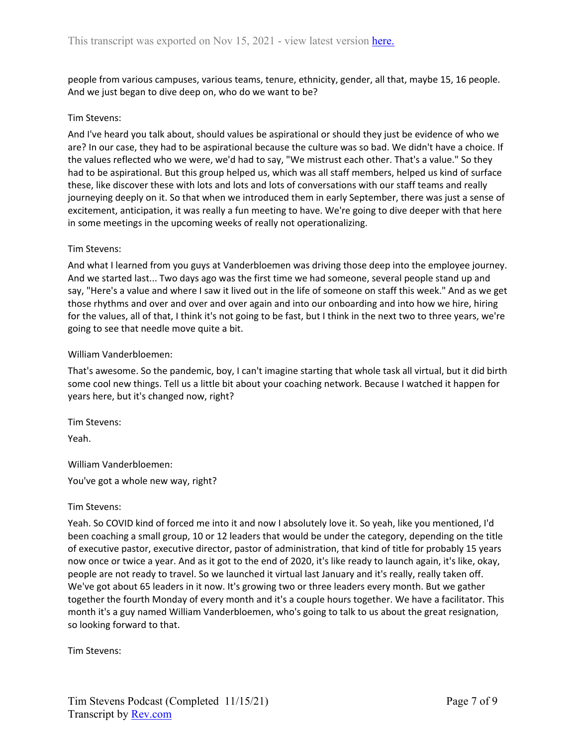people from various campuses, various teams, tenure, ethnicity, gender, all that, maybe 15, 16 people. And we just began to dive deep on, who do we want to be?

## Tim Stevens:

And I've heard you talk about, should values be aspirational or should they just be evidence of who we are? In our case, they had to be aspirational because the culture was so bad. We didn't have a choice. If the values reflected who we were, we'd had to say, "We mistrust each other. That's a value." So they had to be aspirational. But this group helped us, which was all staff members, helped us kind of surface these, like discover these with lots and lots and lots of conversations with our staff teams and really journeying deeply on it. So that when we introduced them in early September, there was just a sense of excitement, anticipation, it was really a fun meeting to have. We're going to dive deeper with that here in some meetings in the upcoming weeks of really not operationalizing.

## Tim Stevens:

And what I learned from you guys at Vanderbloemen was driving those deep into the employee journey. And we started last... Two days ago was the first time we had someone, several people stand up and say, "Here's a value and where I saw it lived out in the life of someone on staff this week." And as we get those rhythms and over and over and over again and into our onboarding and into how we hire, hiring for the values, all of that, I think it's not going to be fast, but I think in the next two to three years, we're going to see that needle move quite a bit.

## William Vanderbloemen:

That's awesome. So the pandemic, boy, I can't imagine starting that whole task all virtual, but it did birth some cool new things. Tell us a little bit about your coaching network. Because I watched it happen for years here, but it's changed now, right?

Tim Stevens:

Yeah.

William Vanderbloemen: You've got a whole new way, right?

Tim Stevens:

Yeah. So COVID kind of forced me into it and now I absolutely love it. So yeah, like you mentioned, I'd been coaching a small group, 10 or 12 leaders that would be under the category, depending on the title of executive pastor, executive director, pastor of administration, that kind of title for probably 15 years now once or twice a year. And as it got to the end of 2020, it's like ready to launch again, it's like, okay, people are not ready to travel. So we launched it virtual last January and it's really, really taken off. We've got about 65 leaders in it now. It's growing two or three leaders every month. But we gather together the fourth Monday of every month and it's a couple hours together. We have a facilitator. This month it's a guy named William Vanderbloemen, who's going to talk to us about the great resignation, so looking forward to that.

Tim Stevens: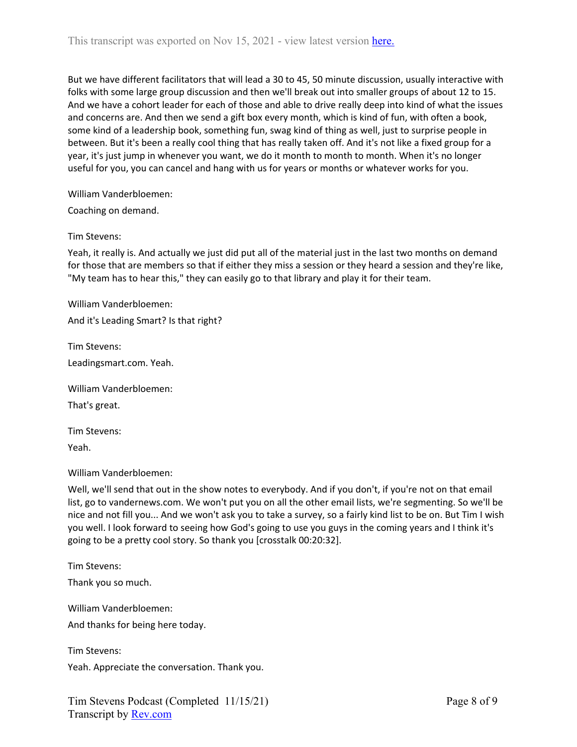But we have different facilitators that will lead a 30 to 45, 50 minute discussion, usually interactive with folks with some large group discussion and then we'll break out into smaller groups of about 12 to 15. And we have a cohort leader for each of those and able to drive really deep into kind of what the issues and concerns are. And then we send a gift box every month, which is kind of fun, with often a book, some kind of a leadership book, something fun, swag kind of thing as well, just to surprise people in between. But it's been a really cool thing that has really taken off. And it's not like a fixed group for a year, it's just jump in whenever you want, we do it month to month to month. When it's no longer useful for you, you can cancel and hang with us for years or months or whatever works for you.

William Vanderbloemen:

Coaching on demand.

#### Tim Stevens:

Yeah, it really is. And actually we just did put all of the material just in the last two months on demand for those that are members so that if either they miss a session or they heard a session and they're like, "My team has to hear this," they can easily go to that library and play it for their team.

William Vanderbloemen:

And it's Leading Smart? Is that right?

Tim Stevens:

Leadingsmart.com. Yeah.

William Vanderbloemen:

That's great.

Tim Stevens: Yeah.

William Vanderbloemen:

Well, we'll send that out in the show notes to everybody. And if you don't, if you're not on that email list, go to vandernews.com. We won't put you on all the other email lists, we're segmenting. So we'll be nice and not fill you... And we won't ask you to take a survey, so a fairly kind list to be on. But Tim I wish you well. I look forward to seeing how God's going to use you guys in the coming years and I think it's going to be a pretty cool story. So thank you [crosstalk 00:20:32].

Tim Stevens: Thank you so much.

William Vanderbloemen: And thanks for being here today.

Tim Stevens: Yeah. Appreciate the conversation. Thank you.